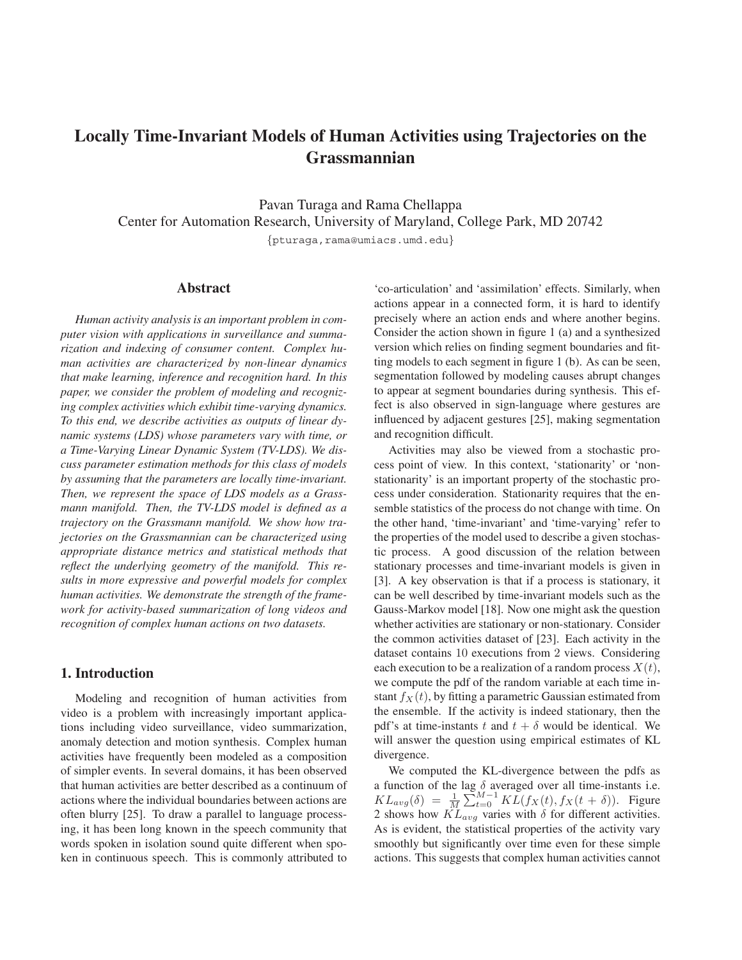# **Locally Time-Invariant Models of Human Activities using Trajectories on the Grassmannian**

Pavan Turaga and Rama Chellappa

Center for Automation Research, University of Maryland, College Park, MD 20742

*{*pturaga,rama@umiacs.umd.edu*}*

#### **Abstract**

*Human activity analysis is an important problem in computer vision with applications in surveillance and summarization and indexing of consumer content. Complex human activities are characterized by non-linear dynamics that make learning, inference and recognition hard. In this paper, we consider the problem of modeling and recognizing complex activities which exhibit time-varying dynamics. To this end, we describe activities as outputs of linear dynamic systems (LDS) whose parameters vary with time, or a Time-Varying Linear Dynamic System (TV-LDS). We discuss parameter estimation methods for this class of models by assuming that the parameters are locally time-invariant. Then, we represent the space of LDS models as a Grassmann manifold. Then, the TV-LDS model is defined as a trajectory on the Grassmann manifold. We show how trajectories on the Grassmannian can be characterized using appropriate distance metrics and statistical methods that reflect the underlying geometry of the manifold. This results in more expressive and powerful models for complex human activities. We demonstrate the strength of the framework for activity-based summarization of long videos and recognition of complex human actions on two datasets.*

## **1. Introduction**

Modeling and recognition of human activities from video is a problem with increasingly important applications including video surveillance, video summarization, anomaly detection and motion synthesis. Complex human activities have frequently been modeled as a composition of simpler events. In several domains, it has been observed that human activities are better described as a continuum of actions where the individual boundaries between actions are often blurry [25]. To draw a parallel to language processing, it has been long known in the speech community that words spoken in isolation sound quite different when spoken in continuous speech. This is commonly attributed to

'co-articulation' and 'assimilation' effects. Similarly, when actions appear in a connected form, it is hard to identify precisely where an action ends and where another begins. Consider the action shown in figure 1 (a) and a synthesized version which relies on finding segment boundaries and fitting models to each segment in figure 1 (b). As can be seen, segmentation followed by modeling causes abrupt changes to appear at segment boundaries during synthesis. This effect is also observed in sign-language where gestures are influenced by adjacent gestures [25], making segmentation and recognition difficult.

Activities may also be viewed from a stochastic process point of view. In this context, 'stationarity' or 'nonstationarity' is an important property of the stochastic process under consideration. Stationarity requires that the ensemble statistics of the process do not change with time. On the other hand, 'time-invariant' and 'time-varying' refer to the properties of the model used to describe a given stochastic process. A good discussion of the relation between stationary processes and time-invariant models is given in [3]. A key observation is that if a process is stationary, it can be well described by time-invariant models such as the Gauss-Markov model [18]. Now one might ask the question whether activities are stationary or non-stationary. Consider the common activities dataset of [23]. Each activity in the dataset contains 10 executions from 2 views. Considering each execution to be a realization of a random process  $X(t)$ , we compute the pdf of the random variable at each time instant  $f_X(t)$ , by fitting a parametric Gaussian estimated from the ensemble. If the activity is indeed stationary, then the pdf's at time-instants t and  $t + \delta$  would be identical. We will answer the question using empirical estimates of KL divergence.

We computed the KL-divergence between the pdfs as a function of the lag  $\delta$  averaged over all time-instants i.e.  $KL_{avg}(\delta) = \frac{1}{M} \sum_{t=0}^{M-1} KL(f_X(t), f_X(t+\delta)).$  Figure 2 shows how  $\overline{KL}_{avg}$  varies with  $\delta$  for different activities. As is evident, the statistical properties of the activity vary smoothly but significantly over time even for these simple actions. This suggests that complex human activities cannot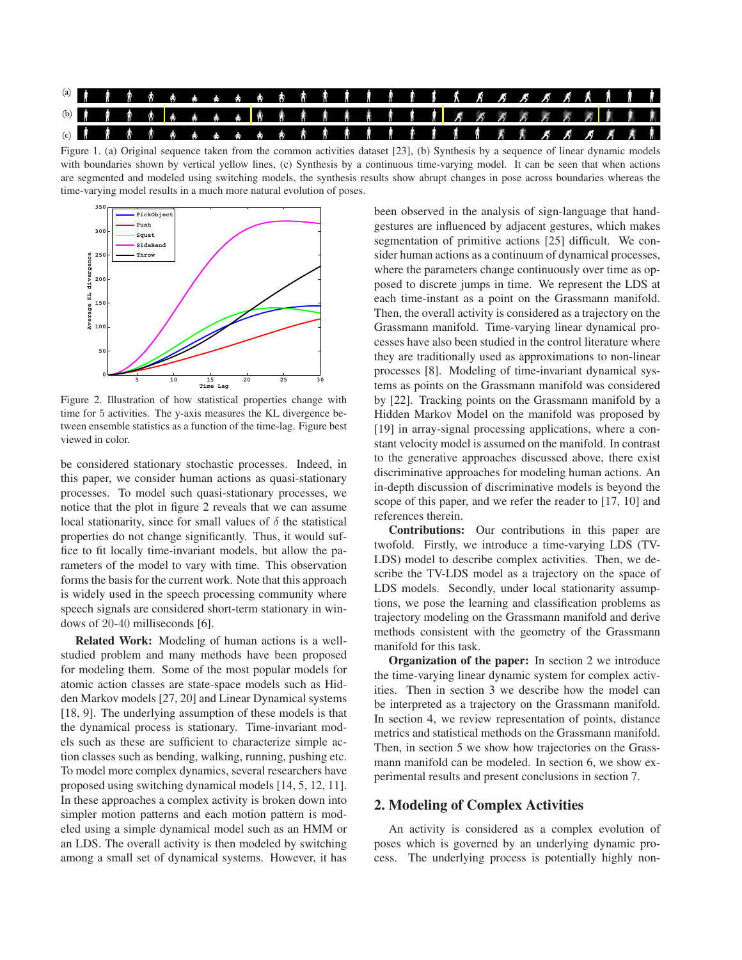

Figure 1. (a) Original sequence taken from the common activities dataset [23], (b) Synthesis by a sequence of linear dynamic models with boundaries shown by vertical yellow lines, (c) Synthesis by a continuous time-varying model. It can be seen that when actions are segmented and modeled using switching models, the synthesis results show abrupt changes in pose across boundaries whereas the time-varying model results in a much more natural evolution of poses.



Figure 2. Illustration of how statistical properties change with time for 5 activities. The y-axis measures the KL divergence between ensemble statistics as a function of the time-lag. Figure best viewed in color.

be considered stationary stochastic processes. Indeed, in this paper, we consider human actions as quasi-stationary processes. To model such quasi-stationary processes, we notice that the plot in figure 2 reveals that we can assume local stationarity, since for small values of  $\delta$  the statistical properties do not change significantly. Thus, it would suffice to fit locally time-invariant models, but allow the parameters of the model to vary with time. This observation forms the basis for the current work. Note that this approach is widely used in the speech processing community where speech signals are considered short-term stationary in windows of 20-40 milliseconds [6].

**Related Work:** Modeling of human actions is a wellstudied problem and many methods have been proposed for modeling them. Some of the most popular models for atomic action classes are state-space models such as Hidden Markov models [27, 20] and Linear Dynamical systems [18, 9]. The underlying assumption of these models is that the dynamical process is stationary. Time-invariant models such as these are sufficient to characterize simple action classes such as bending, walking, running, pushing etc. To model more complex dynamics, several researchers have proposed using switching dynamical models [14, 5, 12, 11]. In these approaches a complex activity is broken down into simpler motion patterns and each motion pattern is modeled using a simple dynamical model such as an HMM or an LDS. The overall activity is then modeled by switching among a small set of dynamical systems. However, it has

been observed in the analysis of sign-language that handgestures are influenced by adjacent gestures, which makes segmentation of primitive actions [25] difficult. We consider human actions as a continuum of dynamical processes, where the parameters change continuously over time as opposed to discrete jumps in time. We represent the LDS at each time-instant as a point on the Grassmann manifold. Then, the overall activity is considered as a trajectory on the Grassmann manifold. Time-varying linear dynamical processes have also been studied in the control literature where they are traditionally used as approximations to non-linear processes [8]. Modeling of time-invariant dynamical systems as points on the Grassmann manifold was considered by [22]. Tracking points on the Grassmann manifold by a Hidden Markov Model on the manifold was proposed by [19] in array-signal processing applications, where a constant velocity model is assumed on the manifold. In contrast to the generative approaches discussed above, there exist discriminative approaches for modeling human actions. An in-depth discussion of discriminative models is beyond the scope of this paper, and we refer the reader to [17, 10] and references therein.

**Contributions:** Our contributions in this paper are twofold. Firstly, we introduce a time-varying LDS (TV-LDS) model to describe complex activities. Then, we describe the TV-LDS model as a trajectory on the space of LDS models. Secondly, under local stationarity assumptions, we pose the learning and classification problems as trajectory modeling on the Grassmann manifold and derive methods consistent with the geometry of the Grassmann manifold for this task.

**Organization of the paper:** In section 2 we introduce the time-varying linear dynamic system for complex activities. Then in section 3 we describe how the model can be interpreted as a trajectory on the Grassmann manifold. In section 4, we review representation of points, distance metrics and statistical methods on the Grassmann manifold. Then, in section 5 we show how trajectories on the Grassmann manifold can be modeled. In section 6, we show experimental results and present conclusions in section 7.

## **2. Modeling of Complex Activities**

An activity is considered as a complex evolution of poses which is governed by an underlying dynamic process. The underlying process is potentially highly non-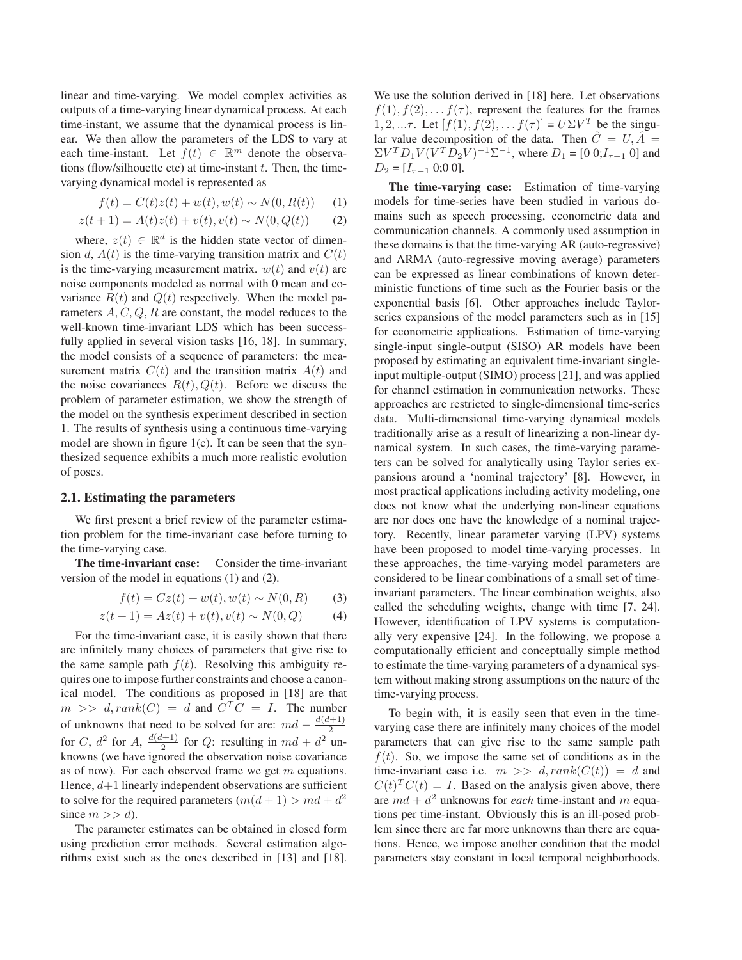linear and time-varying. We model complex activities as outputs of a time-varying linear dynamical process. At each time-instant, we assume that the dynamical process is linear. We then allow the parameters of the LDS to vary at each time-instant. Let  $f(t) \in \mathbb{R}^m$  denote the observations (flow/silhouette etc) at time-instant  $t$ . Then, the timevarying dynamical model is represented as

$$
f(t) = C(t)z(t) + w(t), w(t) \sim N(0, R(t))
$$
 (1)

$$
z(t+1) = A(t)z(t) + v(t), v(t) \sim N(0, Q(t))
$$
 (2)

where,  $z(t) \in \mathbb{R}^d$  is the hidden state vector of dimension d,  $A(t)$  is the time-varying transition matrix and  $C(t)$ is the time-varying measurement matrix.  $w(t)$  and  $v(t)$  are noise components modeled as normal with 0 mean and covariance  $R(t)$  and  $Q(t)$  respectively. When the model parameters  $A, C, Q, R$  are constant, the model reduces to the well-known time-invariant LDS which has been successfully applied in several vision tasks [16, 18]. In summary, the model consists of a sequence of parameters: the measurement matrix  $C(t)$  and the transition matrix  $A(t)$  and the noise covariances  $R(t)$ ,  $Q(t)$ . Before we discuss the problem of parameter estimation, we show the strength of the model on the synthesis experiment described in section 1. The results of synthesis using a continuous time-varying model are shown in figure 1(c). It can be seen that the synthesized sequence exhibits a much more realistic evolution of poses.

#### **2.1. Estimating the parameters**

We first present a brief review of the parameter estimation problem for the time-invariant case before turning to the time-varying case.

**The time-invariant case:** Consider the time-invariant version of the model in equations (1) and (2).

$$
f(t) = Cz(t) + w(t), w(t) \sim N(0, R)
$$
 (3)

$$
z(t+1) = Az(t) + v(t), v(t) \sim N(0, Q)
$$
 (4)

For the time-invariant case, it is easily shown that there are infinitely many choices of parameters that give rise to the same sample path  $f(t)$ . Resolving this ambiguity requires one to impose further constraints and choose a canonical model. The conditions as proposed in [18] are that  $m \gg d, rank(C) = d$  and  $C<sup>T</sup>C = I$ . The number of unknowns that need to be solved for are:  $md - \frac{d(d+1)}{2}$ for C,  $d^2$  for A,  $\frac{d(d+1)}{2}$  for Q: resulting in  $md + d^2$  unknowns (we have ignored the observation noise covariance as of now). For each observed frame we get  $m$  equations. Hence,  $d+1$  linearly independent observations are sufficient to solve for the required parameters  $(m(d + 1) > md + d^2)$ since  $m \gg d$ ).

The parameter estimates can be obtained in closed form using prediction error methods. Several estimation algorithms exist such as the ones described in [13] and [18].

We use the solution derived in [18] here. Let observations  $f(1), f(2), \ldots, f(\tau)$ , represent the features for the frames 1, 2, ...  $\tau$ . Let  $[f(1), f(2), \ldots, f(\tau)] = U \Sigma V^T$  be the singular value decomposition of the data. Then  $\hat{C} = U, \hat{A} =$  $\Sigma V^T D_1 V (V^T D_2 V)^{-1} \Sigma^{-1}$ , where  $D_1 = [0 \ 0; I_{\tau-1} \ 0]$  and  $D_2 = [I_{\tau-1} 0; 0; 0].$ 

**The time-varying case:** Estimation of time-varying models for time-series have been studied in various domains such as speech processing, econometric data and communication channels. A commonly used assumption in these domains is that the time-varying AR (auto-regressive) and ARMA (auto-regressive moving average) parameters can be expressed as linear combinations of known deterministic functions of time such as the Fourier basis or the exponential basis [6]. Other approaches include Taylorseries expansions of the model parameters such as in [15] for econometric applications. Estimation of time-varying single-input single-output (SISO) AR models have been proposed by estimating an equivalent time-invariant singleinput multiple-output (SIMO) process [21], and was applied for channel estimation in communication networks. These approaches are restricted to single-dimensional time-series data. Multi-dimensional time-varying dynamical models traditionally arise as a result of linearizing a non-linear dynamical system. In such cases, the time-varying parameters can be solved for analytically using Taylor series expansions around a 'nominal trajectory' [8]. However, in most practical applications including activity modeling, one does not know what the underlying non-linear equations are nor does one have the knowledge of a nominal trajectory. Recently, linear parameter varying (LPV) systems have been proposed to model time-varying processes. In these approaches, the time-varying model parameters are considered to be linear combinations of a small set of timeinvariant parameters. The linear combination weights, also called the scheduling weights, change with time [7, 24]. However, identification of LPV systems is computationally very expensive [24]. In the following, we propose a computationally efficient and conceptually simple method to estimate the time-varying parameters of a dynamical system without making strong assumptions on the nature of the time-varying process.

To begin with, it is easily seen that even in the timevarying case there are infinitely many choices of the model parameters that can give rise to the same sample path  $f(t)$ . So, we impose the same set of conditions as in the time-invariant case i.e.  $m \gg d, rank(C(t)) = d$  and  $C(t)^{T} C(t) = I$ . Based on the analysis given above, there are  $md + d^2$  unknowns for *each* time-instant and m equations per time-instant. Obviously this is an ill-posed problem since there are far more unknowns than there are equations. Hence, we impose another condition that the model parameters stay constant in local temporal neighborhoods.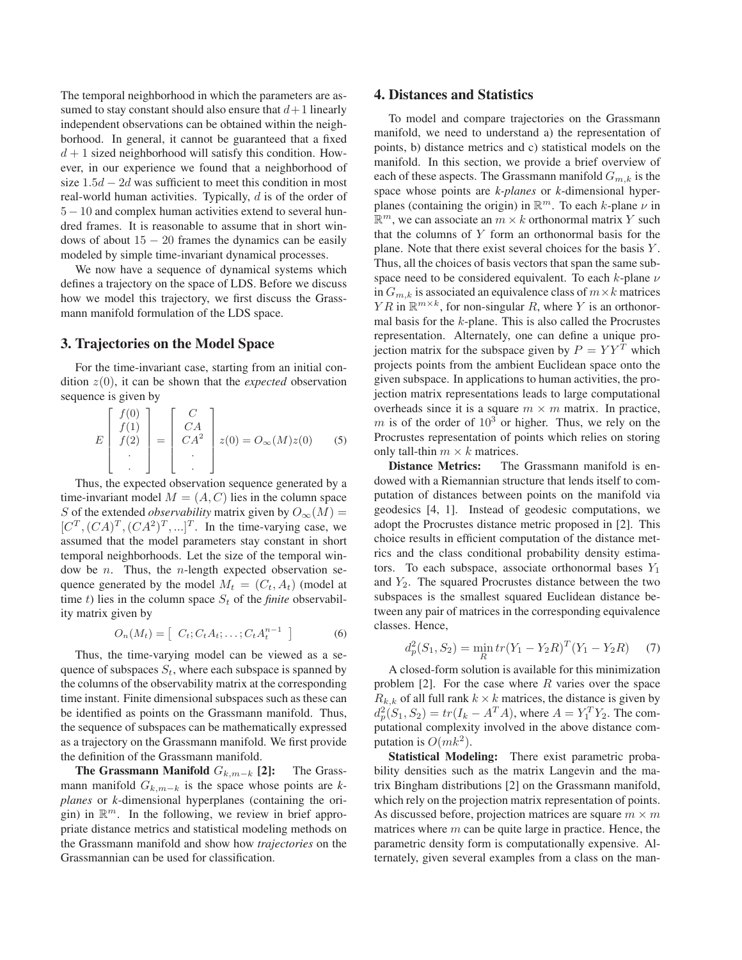The temporal neighborhood in which the parameters are assumed to stay constant should also ensure that  $d+1$  linearly independent observations can be obtained within the neighborhood. In general, it cannot be guaranteed that a fixed  $d + 1$  sized neighborhood will satisfy this condition. However, in our experience we found that a neighborhood of size  $1.5d - 2d$  was sufficient to meet this condition in most real-world human activities. Typically, d is of the order of 5 − 10 and complex human activities extend to several hundred frames. It is reasonable to assume that in short windows of about  $15 - 20$  frames the dynamics can be easily modeled by simple time-invariant dynamical processes.

We now have a sequence of dynamical systems which defines a trajectory on the space of LDS. Before we discuss how we model this trajectory, we first discuss the Grassmann manifold formulation of the LDS space.

#### **3. Trajectories on the Model Space**

For the time-invariant case, starting from an initial condition  $z(0)$ , it can be shown that the *expected* observation sequence is given by

$$
E\begin{bmatrix} f(0) \\ f(1) \\ f(2) \\ \vdots \end{bmatrix} = \begin{bmatrix} C \\ CA^2 \\ CA^2 \\ \vdots \end{bmatrix} z(0) = O_{\infty}(M)z(0) \qquad (5)
$$

Thus, the expected observation sequence generated by a time-invariant model  $M = (A, C)$  lies in the column space S of the extended *observability* matrix given by  $O_{\infty}(M)$  =  $[C^T, (CA)^T, (CA^2)^T, \ldots]^T$ . In the time-varying case, we assumed that the model parameters stay constant in short temporal neighborhoods. Let the size of the temporal window be *n*. Thus, the *n*-length expected observation sequence generated by the model  $M_t = (C_t, A_t)$  (model at time t) lies in the column space  $S_t$  of the *finite* observability matrix given by

$$
O_n(M_t) = \left[ C_t; C_t A_t; \dots; C_t A_t^{n-1} \right]
$$
 (6)

Thus, the time-varying model can be viewed as a sequence of subspaces  $S_t$ , where each subspace is spanned by the columns of the observability matrix at the corresponding time instant. Finite dimensional subspaces such as these can be identified as points on the Grassmann manifold. Thus, the sequence of subspaces can be mathematically expressed as a trajectory on the Grassmann manifold. We first provide the definition of the Grassmann manifold.

The Grassmann Manifold  $G_{k,m-k}$  [2]: The Grassmann manifold  $G_{k,m-k}$  is the space whose points are *kplanes* or *k*-dimensional hyperplanes (containing the origin) in  $\mathbb{R}^m$ . In the following, we review in brief appropriate distance metrics and statistical modeling methods on the Grassmann manifold and show how *trajectories* on the Grassmannian can be used for classification.

#### **4. Distances and Statistics**

To model and compare trajectories on the Grassmann manifold, we need to understand a) the representation of points, b) distance metrics and c) statistical models on the manifold. In this section, we provide a brief overview of each of these aspects. The Grassmann manifold  $G_{m,k}$  is the space whose points are *k-planes* or *k*-dimensional hyperplanes (containing the origin) in  $\mathbb{R}^m$ . To each k-plane  $\nu$  in  $\mathbb{R}^m$ , we can associate an  $m \times k$  orthonormal matrix Y such that the columns of  $Y$  form an orthonormal basis for the plane. Note that there exist several choices for the basis Y . Thus, all the choices of basis vectors that span the same subspace need to be considered equivalent. To each  $k$ -plane  $\nu$ in  $G_{m,k}$  is associated an equivalence class of  $m \times k$  matrices  $YR$  in  $\mathbb{R}^{m \times k}$ , for non-singular R, where Y is an orthonormal basis for the  $k$ -plane. This is also called the Procrustes representation. Alternately, one can define a unique projection matrix for the subspace given by  $P = YY^T$  which projects points from the ambient Euclidean space onto the given subspace. In applications to human activities, the projection matrix representations leads to large computational overheads since it is a square  $m \times m$  matrix. In practice, m is of the order of  $10^3$  or higher. Thus, we rely on the Procrustes representation of points which relies on storing only tall-thin  $m \times k$  matrices.

**Distance Metrics:** The Grassmann manifold is endowed with a Riemannian structure that lends itself to computation of distances between points on the manifold via geodesics [4, 1]. Instead of geodesic computations, we adopt the Procrustes distance metric proposed in [2]. This choice results in efficient computation of the distance metrics and the class conditional probability density estimators. To each subspace, associate orthonormal bases  $Y_1$ and  $Y_2$ . The squared Procrustes distance between the two subspaces is the smallest squared Euclidean distance between any pair of matrices in the corresponding equivalence classes. Hence,

$$
d_p^2(S_1, S_2) = \min_R tr(Y_1 - Y_2 R)^T (Y_1 - Y_2 R)
$$
 (7)

A closed-form solution is available for this minimization problem  $[2]$ . For the case where R varies over the space  $R_{k,k}$  of all full rank  $k \times k$  matrices, the distance is given by  $d_p^2(S_1, S_2) = tr(I_k - A^T A)$ , where  $A = Y_1^T Y_2$ . The computational complexity involved in the above distance computation is  $O(mk^2)$ .

**Statistical Modeling:** There exist parametric probability densities such as the matrix Langevin and the matrix Bingham distributions [2] on the Grassmann manifold, which rely on the projection matrix representation of points. As discussed before, projection matrices are square  $m \times m$ matrices where  $m$  can be quite large in practice. Hence, the parametric density form is computationally expensive. Alternately, given several examples from a class on the man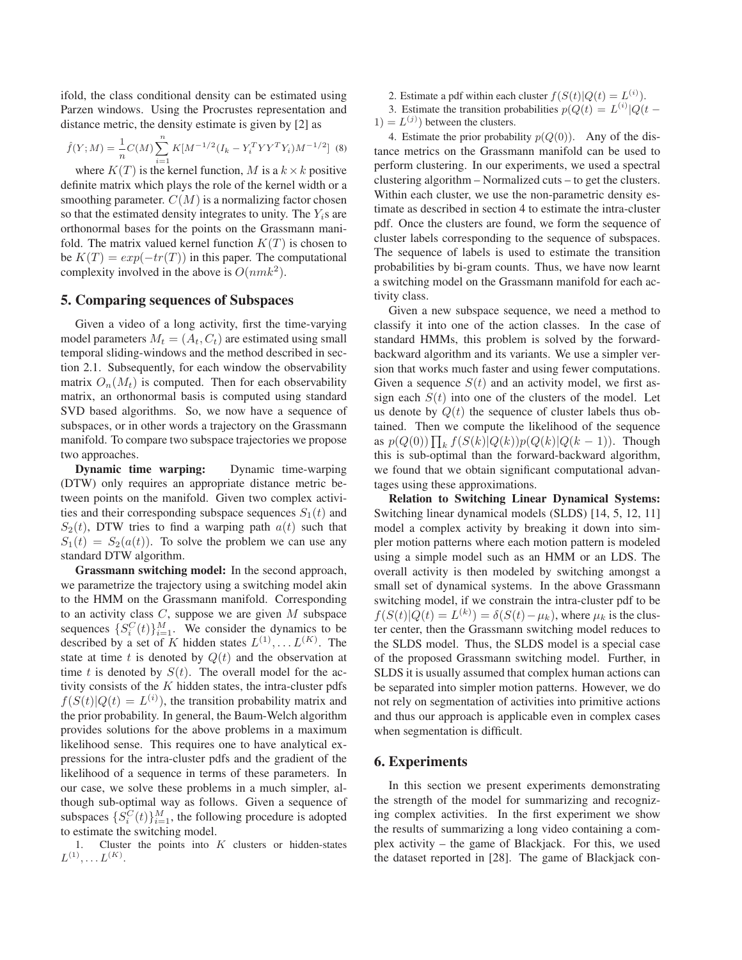ifold, the class conditional density can be estimated using Parzen windows. Using the Procrustes representation and distance metric, the density estimate is given by [2] as

$$
\hat{f}(Y;M) = \frac{1}{n}C(M)\sum_{i=1}^{n} K[M^{-1/2}(I_k - Y_i^T Y Y^T Y_i)M^{-1/2}] \tag{8}
$$

where  $K(T)$  is the kernel function, M is a  $k \times k$  positive definite matrix which plays the role of the kernel width or a smoothing parameter.  $C(M)$  is a normalizing factor chosen so that the estimated density integrates to unity. The  $Y_i$ s are orthonormal bases for the points on the Grassmann manifold. The matrix valued kernel function  $K(T)$  is chosen to be  $K(T) = exp(-tr(T))$  in this paper. The computational complexity involved in the above is  $O(nmk^2)$ .

## **5. Comparing sequences of Subspaces**

Given a video of a long activity, first the time-varying model parameters  $M_t = (A_t, C_t)$  are estimated using small temporal sliding-windows and the method described in section 2.1. Subsequently, for each window the observability matrix  $O_n(M_t)$  is computed. Then for each observability matrix, an orthonormal basis is computed using standard SVD based algorithms. So, we now have a sequence of subspaces, or in other words a trajectory on the Grassmann manifold. To compare two subspace trajectories we propose two approaches.

**Dynamic time warping:** Dynamic time-warping (DTW) only requires an appropriate distance metric between points on the manifold. Given two complex activities and their corresponding subspace sequences  $S_1(t)$  and  $S_2(t)$ , DTW tries to find a warping path  $a(t)$  such that  $S_1(t) = S_2(a(t))$ . To solve the problem we can use any standard DTW algorithm.

**Grassmann switching model:** In the second approach, we parametrize the trajectory using a switching model akin to the HMM on the Grassmann manifold. Corresponding to an activity class  $C$ , suppose we are given  $M$  subspace sequences  $\{S_i^C(t)\}_{i=1}^M$ . We consider the dynamics to be described by a set of K hidden states  $L^{(1)}, \ldots L^{(K)}$ . The state at time t is denoted by  $Q(t)$  and the observation at time t is denoted by  $S(t)$ . The overall model for the activity consists of the  $K$  hidden states, the intra-cluster pdfs  $f(S(t)|Q(t) = L^{(i)})$ , the transition probability matrix and the prior probability. In general, the Baum-Welch algorithm provides solutions for the above problems in a maximum likelihood sense. This requires one to have analytical expressions for the intra-cluster pdfs and the gradient of the likelihood of a sequence in terms of these parameters. In our case, we solve these problems in a much simpler, although sub-optimal way as follows. Given a sequence of subspaces  $\{S_i^C(t)\}_{i=1}^M$ , the following procedure is adopted to estimate the switching model.

1. Cluster the points into *K* clusters or hidden-states  $L^{(1)}, \ldots L^{(K)}$ .

2. Estimate a pdf within each cluster  $f(S(t)|Q(t) = L^{(i)}).$ 

3. Estimate the transition probabilities  $p(Q(t) = L^{(i)}|Q(t - \tau))$ 

 $1) = L^{(j)}$  between the clusters.

4. Estimate the prior probability  $p(Q(0))$ . Any of the distance metrics on the Grassmann manifold can be used to perform clustering. In our experiments, we used a spectral clustering algorithm – Normalized cuts – to get the clusters. Within each cluster, we use the non-parametric density estimate as described in section 4 to estimate the intra-cluster pdf. Once the clusters are found, we form the sequence of cluster labels corresponding to the sequence of subspaces. The sequence of labels is used to estimate the transition probabilities by bi-gram counts. Thus, we have now learnt a switching model on the Grassmann manifold for each activity class.

Given a new subspace sequence, we need a method to classify it into one of the action classes. In the case of standard HMMs, this problem is solved by the forwardbackward algorithm and its variants. We use a simpler version that works much faster and using fewer computations. Given a sequence  $S(t)$  and an activity model, we first assign each  $S(t)$  into one of the clusters of the model. Let us denote by  $Q(t)$  the sequence of cluster labels thus obtained. Then we compute the likelihood of the sequence as  $p(Q(0)) \prod_k f(S(k)|Q(k)) p(Q(k)|Q(k-1))$ . Though this is sub-optimal than the forward-backward algorithm, we found that we obtain significant computational advantages using these approximations.

**Relation to Switching Linear Dynamical Systems:** Switching linear dynamical models (SLDS) [14, 5, 12, 11] model a complex activity by breaking it down into simpler motion patterns where each motion pattern is modeled using a simple model such as an HMM or an LDS. The overall activity is then modeled by switching amongst a small set of dynamical systems. In the above Grassmann switching model, if we constrain the intra-cluster pdf to be  $f(S(t)|Q(t) = L^{(k)}) = \delta(S(t) - \mu_k)$ , where  $\mu_k$  is the cluster center, then the Grassmann switching model reduces to the SLDS model. Thus, the SLDS model is a special case of the proposed Grassmann switching model. Further, in SLDS it is usually assumed that complex human actions can be separated into simpler motion patterns. However, we do not rely on segmentation of activities into primitive actions and thus our approach is applicable even in complex cases when segmentation is difficult.

## **6. Experiments**

In this section we present experiments demonstrating the strength of the model for summarizing and recognizing complex activities. In the first experiment we show the results of summarizing a long video containing a complex activity – the game of Blackjack. For this, we used the dataset reported in [28]. The game of Blackjack con-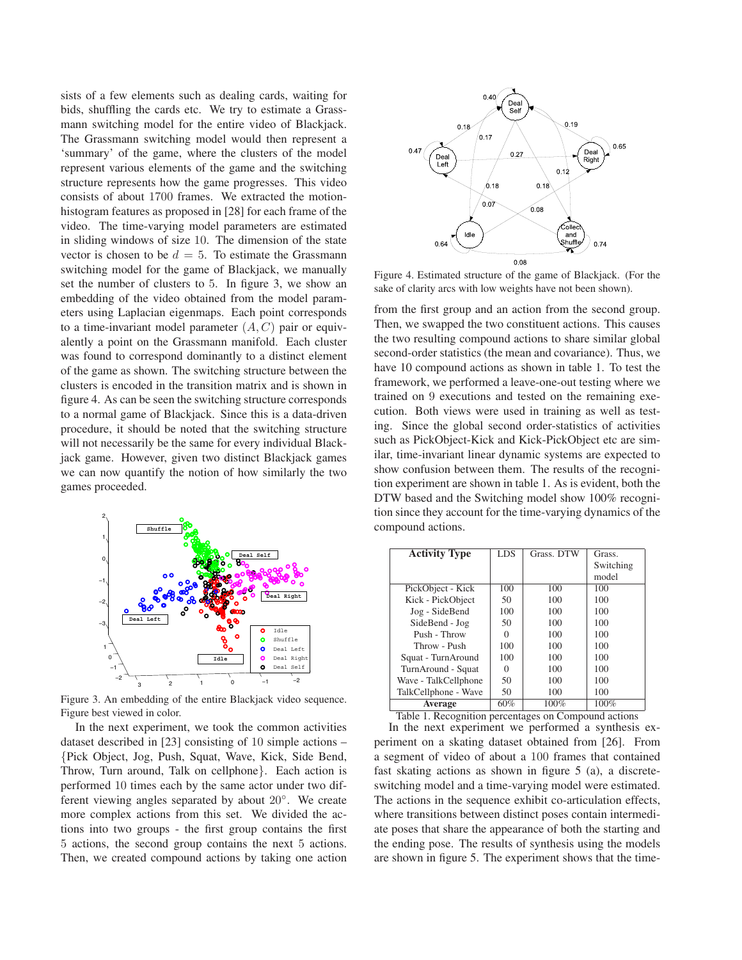sists of a few elements such as dealing cards, waiting for bids, shuffling the cards etc. We try to estimate a Grassmann switching model for the entire video of Blackjack. The Grassmann switching model would then represent a 'summary' of the game, where the clusters of the model represent various elements of the game and the switching structure represents how the game progresses. This video consists of about 1700 frames. We extracted the motionhistogram features as proposed in [28] for each frame of the video. The time-varying model parameters are estimated in sliding windows of size 10. The dimension of the state vector is chosen to be  $d = 5$ . To estimate the Grassmann switching model for the game of Blackjack, we manually set the number of clusters to 5. In figure 3, we show an embedding of the video obtained from the model parameters using Laplacian eigenmaps. Each point corresponds to a time-invariant model parameter  $(A, C)$  pair or equivalently a point on the Grassmann manifold. Each cluster was found to correspond dominantly to a distinct element of the game as shown. The switching structure between the clusters is encoded in the transition matrix and is shown in figure 4. As can be seen the switching structure corresponds to a normal game of Blackjack. Since this is a data-driven procedure, it should be noted that the switching structure will not necessarily be the same for every individual Blackjack game. However, given two distinct Blackjack games we can now quantify the notion of how similarly the two games proceeded.



Figure 3. An embedding of the entire Blackjack video sequence. Figure best viewed in color.

In the next experiment, we took the common activities dataset described in [23] consisting of 10 simple actions – {Pick Object, Jog, Push, Squat, Wave, Kick, Side Bend, Throw, Turn around, Talk on cellphone}. Each action is performed 10 times each by the same actor under two different viewing angles separated by about 20◦. We create more complex actions from this set. We divided the actions into two groups - the first group contains the first 5 actions, the second group contains the next 5 actions. Then, we created compound actions by taking one action



Figure 4. Estimated structure of the game of Blackjack. (For the sake of clarity arcs with low weights have not been shown).

from the first group and an action from the second group. Then, we swapped the two constituent actions. This causes the two resulting compound actions to share similar global second-order statistics (the mean and covariance). Thus, we have 10 compound actions as shown in table 1. To test the framework, we performed a leave-one-out testing where we trained on 9 executions and tested on the remaining execution. Both views were used in training as well as testing. Since the global second order-statistics of activities such as PickObject-Kick and Kick-PickObject etc are similar, time-invariant linear dynamic systems are expected to show confusion between them. The results of the recognition experiment are shown in table 1. As is evident, both the DTW based and the Switching model show 100% recognition since they account for the time-varying dynamics of the compound actions.

| <b>Activity Type</b> | LDS      | Grass. DTW | Grass.    |
|----------------------|----------|------------|-----------|
|                      |          |            | Switching |
|                      |          |            | model     |
| PickObject - Kick    | 100      | 100        | 100       |
| Kick - PickObject    | 50       | 100        | 100       |
| Jog - SideBend       | 100      | 100        | 100       |
| SideBend - Jog       | 50       | 100        | 100       |
| Push - Throw         | $\Omega$ | 100        | 100       |
| Throw - Push         | 100      | 100        | 100       |
| Squat - TurnAround   | 100      | 100        | 100       |
| TurnAround - Squat   | $\Omega$ | 100        | 100       |
| Wave - TalkCellphone | 50       | 100        | 100       |
| TalkCellphone - Wave | 50       | 100        | 100       |
| <b>Average</b>       | 60%      | 100%       | 100%      |

Table 1. Recognition percentages on Compound actions

In the next experiment we performed a synthesis experiment on a skating dataset obtained from [26]. From a segment of video of about a 100 frames that contained fast skating actions as shown in figure 5 (a), a discreteswitching model and a time-varying model were estimated. The actions in the sequence exhibit co-articulation effects, where transitions between distinct poses contain intermediate poses that share the appearance of both the starting and the ending pose. The results of synthesis using the models are shown in figure 5. The experiment shows that the time-